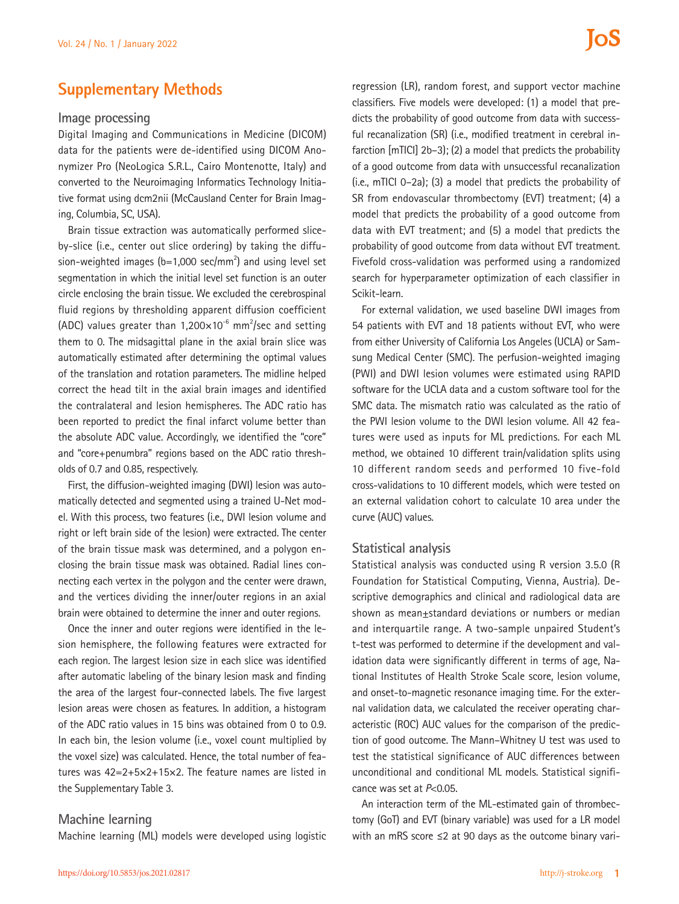## **Supplementary Methods**

#### **Image processing**

Digital Imaging and Communications in Medicine (DICOM) data for the patients were de-identified using DICOM Anonymizer Pro (NeoLogica S.R.L., Cairo Montenotte, Italy) and converted to the Neuroimaging Informatics Technology Initiative format using dcm2nii (McCausland Center for Brain Imaging, Columbia, SC, USA).

Brain tissue extraction was automatically performed sliceby-slice (i.e., center out slice ordering) by taking the diffusion-weighted images  $(b=1,000 \text{ sec/mm}^2)$  and using level set segmentation in which the initial level set function is an outer circle enclosing the brain tissue. We excluded the cerebrospinal fluid regions by thresholding apparent diffusion coefficient (ADC) values greater than 1,200 $\times$ 10<sup>-6</sup> mm<sup>2</sup>/sec and setting them to 0. The midsagittal plane in the axial brain slice was automatically estimated after determining the optimal values of the translation and rotation parameters. The midline helped correct the head tilt in the axial brain images and identified the contralateral and lesion hemispheres. The ADC ratio has been reported to predict the final infarct volume better than the absolute ADC value. Accordingly, we identified the "core" and "core+penumbra" regions based on the ADC ratio thresholds of 0.7 and 0.85, respectively.

First, the diffusion-weighted imaging (DWI) lesion was automatically detected and segmented using a trained U-Net model. With this process, two features (i.e., DWI lesion volume and right or left brain side of the lesion) were extracted. The center of the brain tissue mask was determined, and a polygon enclosing the brain tissue mask was obtained. Radial lines connecting each vertex in the polygon and the center were drawn, and the vertices dividing the inner/outer regions in an axial brain were obtained to determine the inner and outer regions.

Once the inner and outer regions were identified in the lesion hemisphere, the following features were extracted for each region. The largest lesion size in each slice was identified after automatic labeling of the binary lesion mask and finding the area of the largest four-connected labels. The five largest lesion areas were chosen as features. In addition, a histogram of the ADC ratio values in 15 bins was obtained from 0 to 0.9. In each bin, the lesion volume (i.e., voxel count multiplied by the voxel size) was calculated. Hence, the total number of features was 42=2+5×2+15×2. The feature names are listed in the Supplementary Table 3.

### **Machine learning**

Machine learning (ML) models were developed using logistic

regression (LR), random forest, and support vector machine classifiers. Five models were developed: (1) a model that predicts the probability of good outcome from data with successful recanalization (SR) (i.e., modified treatment in cerebral infarction [mTICI] 2b–3); (2) a model that predicts the probability of a good outcome from data with unsuccessful recanalization (i.e., mTICI 0–2a); (3) a model that predicts the probability of SR from endovascular thrombectomy (EVT) treatment; (4) a model that predicts the probability of a good outcome from data with EVT treatment; and (5) a model that predicts the probability of good outcome from data without EVT treatment. Fivefold cross-validation was performed using a randomized search for hyperparameter optimization of each classifier in Scikit-learn.

For external validation, we used baseline DWI images from 54 patients with EVT and 18 patients without EVT, who were from either University of California Los Angeles (UCLA) or Samsung Medical Center (SMC). The perfusion-weighted imaging (PWI) and DWI lesion volumes were estimated using RAPID software for the UCLA data and a custom software tool for the SMC data. The mismatch ratio was calculated as the ratio of the PWI lesion volume to the DWI lesion volume. All 42 features were used as inputs for ML predictions. For each ML method, we obtained 10 different train/validation splits using 10 different random seeds and performed 10 five-fold cross-validations to 10 different models, which were tested on an external validation cohort to calculate 10 area under the curve (AUC) values.

#### **Statistical analysis**

Statistical analysis was conducted using R version 3.5.0 (R Foundation for Statistical Computing, Vienna, Austria). Descriptive demographics and clinical and radiological data are shown as mean±standard deviations or numbers or median and interquartile range. A two-sample unpaired Student's t-test was performed to determine if the development and validation data were significantly different in terms of age, National Institutes of Health Stroke Scale score, lesion volume, and onset-to-magnetic resonance imaging time. For the external validation data, we calculated the receiver operating characteristic (ROC) AUC values for the comparison of the prediction of good outcome. The Mann–Whitney U test was used to test the statistical significance of AUC differences between unconditional and conditional ML models. Statistical significance was set at *P*<0.05.

An interaction term of the ML-estimated gain of thrombectomy (GoT) and EVT (binary variable) was used for a LR model with an mRS score ≤2 at 90 days as the outcome binary vari-